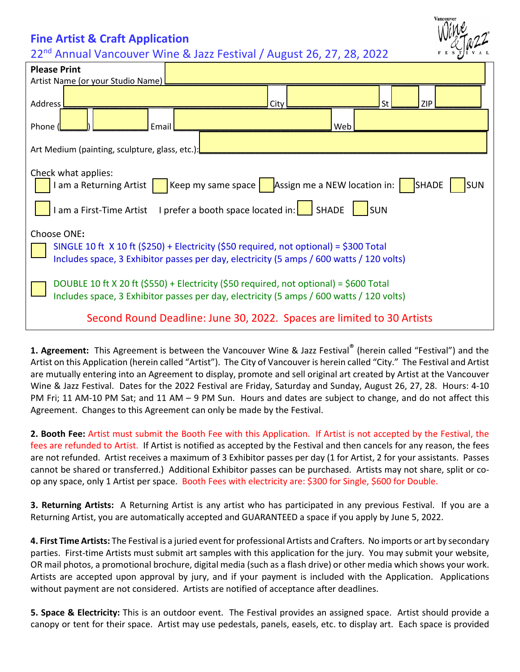## **Fine Artist & Craft Application**

22<sup>nd</sup> Annual Vancouver Wine & Jazz Festival / August 26, 27, 28, 2022



| <b>Please Print</b>                                                                                                                                                                                    |  |  |  |  |  |
|--------------------------------------------------------------------------------------------------------------------------------------------------------------------------------------------------------|--|--|--|--|--|
| Artist Name (or your Studio Name)                                                                                                                                                                      |  |  |  |  |  |
| <b>Address</b><br><b>St</b><br><b>ZIP</b><br>City                                                                                                                                                      |  |  |  |  |  |
| Email<br>Web<br>Phone                                                                                                                                                                                  |  |  |  |  |  |
| Art Medium (painting, sculpture, glass, etc.):                                                                                                                                                         |  |  |  |  |  |
| Check what applies:<br>Keep my same space   Assign me a NEW location in:<br>I am a Returning Artist<br><b>SHADE</b><br><b>SUN</b>                                                                      |  |  |  |  |  |
| I am a First-Time Artist I prefer a booth space located in:<br>SHADE<br>lsun                                                                                                                           |  |  |  |  |  |
| Choose ONE:<br>SINGLE 10 ft $\chi$ 10 ft (\$250) + Electricity (\$50 required, not optional) = \$300 Total<br>Includes space, 3 Exhibitor passes per day, electricity (5 amps / 600 watts / 120 volts) |  |  |  |  |  |
| DOUBLE 10 ft X 20 ft (\$550) + Electricity (\$50 required, not optional) = \$600 Total<br>Includes space, 3 Exhibitor passes per day, electricity (5 amps / 600 watts / 120 volts)                     |  |  |  |  |  |
| Second Round Deadline: June 30, 2022. Spaces are limited to 30 Artists                                                                                                                                 |  |  |  |  |  |

**1. Agreement:** This Agreement is between the Vancouver Wine & Jazz Festival® (herein called "Festival") and the Artist on this Application (herein called "Artist"). The City of Vancouver is herein called "City." The Festival and Artist are mutually entering into an Agreement to display, promote and sell original art created by Artist at the Vancouver Wine & Jazz Festival. Dates for the 2022 Festival are Friday, Saturday and Sunday, August 26, 27, 28. Hours: 4-10 PM Fri; 11 AM-10 PM Sat; and 11 AM – 9 PM Sun. Hours and dates are subject to change, and do not affect this Agreement. Changes to this Agreement can only be made by the Festival.

**2. Booth Fee:** Artist must submit the Booth Fee with this Application. If Artist is not accepted by the Festival, the fees are refunded to Artist. If Artist is notified as accepted by the Festival and then cancels for any reason, the fees are not refunded. Artist receives a maximum of 3 Exhibitor passes per day (1 for Artist, 2 for your assistants. Passes cannot be shared or transferred.) Additional Exhibitor passes can be purchased. Artists may not share, split or coop any space, only 1 Artist per space. Booth Fees with electricity are: \$300 for Single, \$600 for Double.

**3. Returning Artists:** A Returning Artist is any artist who has participated in any previous Festival. If you are a Returning Artist, you are automatically accepted and GUARANTEED a space if you apply by June 5, 2022.

**4. First Time Artists:** The Festival is a juried event for professional Artists and Crafters. No imports or art by secondary parties. First-time Artists must submit art samples with this application for the jury. You may submit your website, OR mail photos, a promotional brochure, digital media (such as a flash drive) or other media which shows your work. Artists are accepted upon approval by jury, and if your payment is included with the Application. Applications without payment are not considered. Artists are notified of acceptance after deadlines.

**5. Space & Electricity:** This is an outdoor event. The Festival provides an assigned space. Artist should provide a canopy or tent for their space. Artist may use pedestals, panels, easels, etc. to display art. Each space is provided